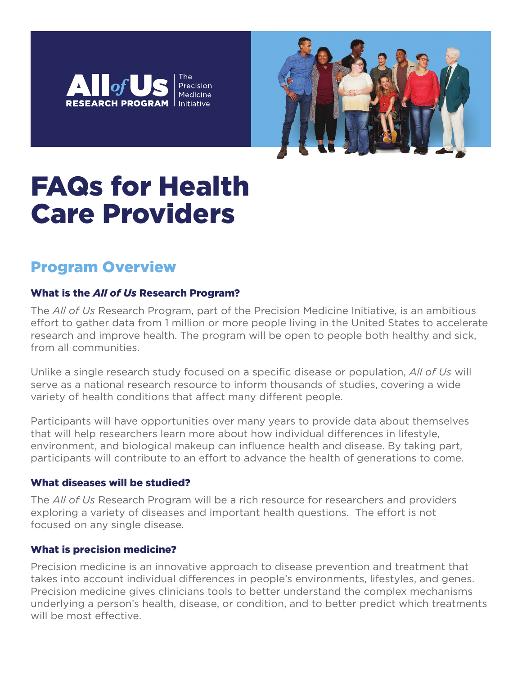



# FAQs for Health Care Providers

## Program Overview

### What is the *All of Us* Research Program?

The *All of Us* Research Program, part of the Precision Medicine Initiative, is an ambitious effort to gather data from 1 million or more people living in the United States to accelerate research and improve health. The program will be open to people both healthy and sick, from all communities.

Unlike a single research study focused on a specific disease or population, *All of Us* will serve as a national research resource to inform thousands of studies, covering a wide variety of health conditions that affect many different people.

Participants will have opportunities over many years to provide data about themselves that will help researchers learn more about how individual differences in lifestyle, environment, and biological makeup can influence health and disease. By taking part, participants will contribute to an effort to advance the health of generations to come.

#### What diseases will be studied?

The *All of Us* Research Program will be a rich resource for researchers and providers exploring a variety of diseases and important health questions. The effort is not focused on any single disease.

#### What is precision medicine?

Precision medicine is an innovative approach to disease prevention and treatment that takes into account individual differences in people's environments, lifestyles, and genes. Precision medicine gives clinicians tools to better understand the complex mechanisms underlying a person's health, disease, or condition, and to better predict which treatments will be most effective.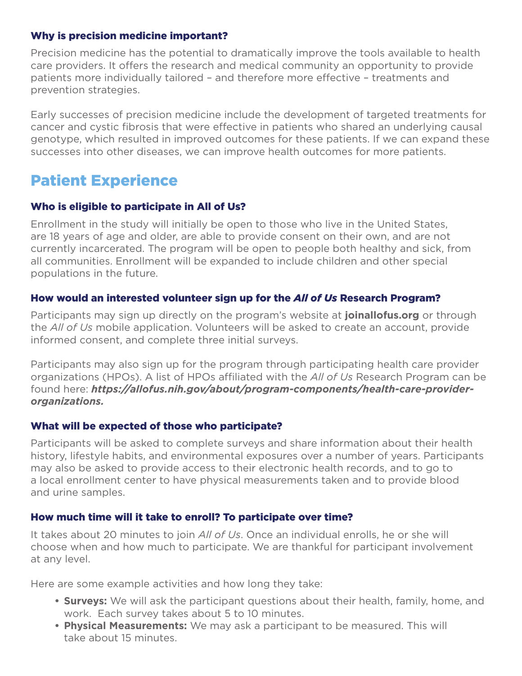#### Why is precision medicine important?

Precision medicine has the potential to dramatically improve the tools available to health care providers. It offers the research and medical community an opportunity to provide patients more individually tailored – and therefore more effective – treatments and prevention strategies.

Early successes of precision medicine include the development of targeted treatments for cancer and cystic fibrosis that were effective in patients who shared an underlying causal genotype, which resulted in improved outcomes for these patients. If we can expand these successes into other diseases, we can improve health outcomes for more patients.

## Patient Experience

#### Who is eligible to participate in All of Us?

Enrollment in the study will initially be open to those who live in the United States, are 18 years of age and older, are able to provide consent on their own, and are not currently incarcerated. The program will be open to people both healthy and sick, from all communities. Enrollment will be expanded to include children and other special populations in the future.

#### How would an interested volunteer sign up for the *All of Us* Research Program?

Participants may sign up directly on the program's website at **joinallofus.org** or through the *All of Us* mobile application. Volunteers will be asked to create an account, provide informed consent, and complete three initial surveys.

Participants may also sign up for the program through participating health care provider organizations (HPOs). A list of HPOs affiliated with the *All of Us* Research Program can be found here: *https://allofus.nih.gov/about/program-components/health-care-providerorganizations.*

#### What will be expected of those who participate?

Participants will be asked to complete surveys and share information about their health history, lifestyle habits, and environmental exposures over a number of years. Participants may also be asked to provide access to their electronic health records, and to go to a local enrollment center to have physical measurements taken and to provide blood and urine samples.

#### How much time will it take to enroll? To participate over time?

It takes about 20 minutes to join *All of Us*. Once an individual enrolls, he or she will choose when and how much to participate. We are thankful for participant involvement at any level.

Here are some example activities and how long they take:

- **Surveys:** We will ask the participant questions about their health, family, home, and work. Each survey takes about 5 to 10 minutes.
- **Physical Measurements:** We may ask a participant to be measured. This will take about 15 minutes.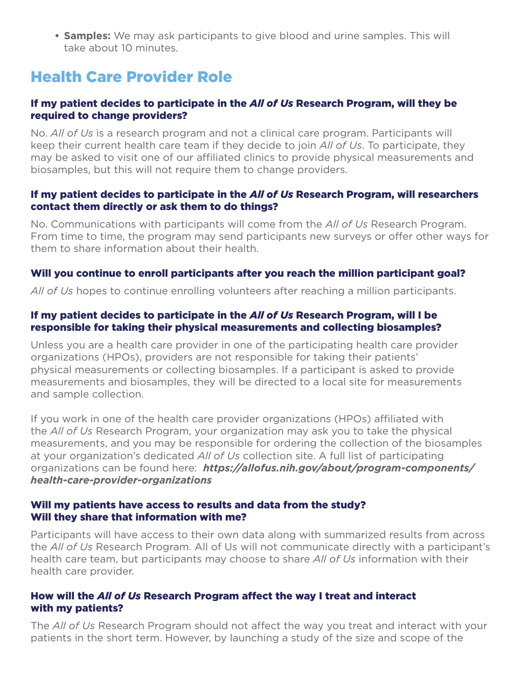**• Samples:** We may ask participants to give blood and urine samples. This will take about 10 minutes.

## Health Care Provider Role

#### If my patient decides to participate in the *All of Us* Research Program, will they be required to change providers?

No. *All of Us* is a research program and not a clinical care program. Participants will keep their current health care team if they decide to join *All of Us*. To participate, they may be asked to visit one of our affiliated clinics to provide physical measurements and biosamples, but this will not require them to change providers.

#### If my patient decides to participate in the *All of Us* Research Program, will researchers contact them directly or ask them to do things?

No. Communications with participants will come from the *All of Us* Research Program. From time to time, the program may send participants new surveys or offer other ways for them to share information about their health.

#### Will you continue to enroll participants after you reach the million participant goal?

*All of Us* hopes to continue enrolling volunteers after reaching a million participants.

#### If my patient decides to participate in the *All of Us* Research Program, will I be responsible for taking their physical measurements and collecting biosamples?

Unless you are a health care provider in one of the participating health care provider organizations (HPOs), providers are not responsible for taking their patients' physical measurements or collecting biosamples. If a participant is asked to provide measurements and biosamples, they will be directed to a local site for measurements and sample collection.

If you work in one of the health care provider organizations (HPOs) affiliated with the *All of Us* Research Program, your organization may ask you to take the physical measurements, and you may be responsible for ordering the collection of the biosamples at your organization's dedicated *All of Us* collection site. A full list of participating organizations can be found here: *https://allofus.nih.gov/about/program-components/ health-care-provider-organizations*

#### Will my patients have access to results and data from the study? Will they share that information with me?

Participants will have access to their own data along with summarized results from across the *All of Us* Research Program. All of Us will not communicate directly with a participant's health care team, but participants may choose to share *All of Us* information with their health care provider.

#### How will the *All of Us* Research Program affect the way I treat and interact with my patients?

The *All of Us* Research Program should not affect the way you treat and interact with your patients in the short term. However, by launching a study of the size and scope of the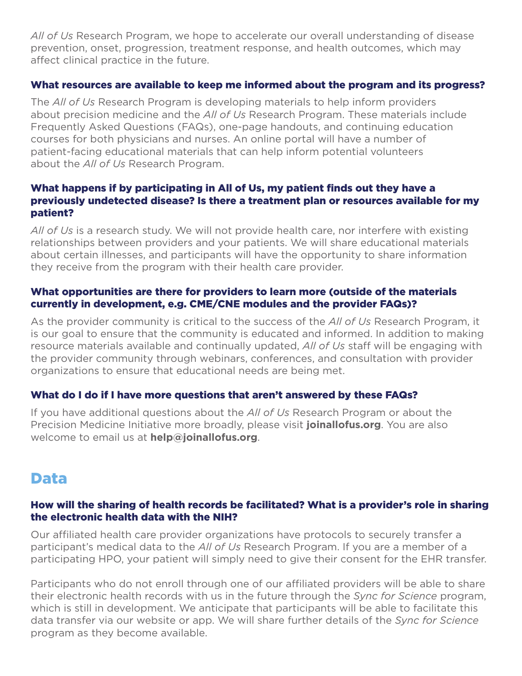*All of Us* Research Program, we hope to accelerate our overall understanding of disease prevention, onset, progression, treatment response, and health outcomes, which may affect clinical practice in the future.

#### What resources are available to keep me informed about the program and its progress?

The *All of Us* Research Program is developing materials to help inform providers about precision medicine and the *All of Us* Research Program. These materials include Frequently Asked Questions (FAQs), one-page handouts, and continuing education courses for both physicians and nurses. An online portal will have a number of patient-facing educational materials that can help inform potential volunteers about the *All of Us* Research Program.

#### What happens if by participating in All of Us, my patient finds out they have a previously undetected disease? Is there a treatment plan or resources available for my patient?

*All of Us* is a research study. We will not provide health care, nor interfere with existing relationships between providers and your patients. We will share educational materials about certain illnesses, and participants will have the opportunity to share information they receive from the program with their health care provider.

#### What opportunities are there for providers to learn more (outside of the materials currently in development, e.g. CME/CNE modules and the provider FAQs)?

As the provider community is critical to the success of the *All of Us* Research Program, it is our goal to ensure that the community is educated and informed. In addition to making resource materials available and continually updated, *All of Us* staff will be engaging with the provider community through webinars, conferences, and consultation with provider organizations to ensure that educational needs are being met.

#### What do I do if I have more questions that aren't answered by these FAQs?

If you have additional questions about the *All of Us* Research Program or about the Precision Medicine Initiative more broadly, please visit **joinallofus.org**. You are also welcome to email us at **help@joinallofus.org**.

## Data

#### How will the sharing of health records be facilitated? What is a provider's role in sharing the electronic health data with the NIH?

Our affiliated health care provider organizations have protocols to securely transfer a participant's medical data to the *All of Us* Research Program. If you are a member of a participating HPO, your patient will simply need to give their consent for the EHR transfer.

Participants who do not enroll through one of our affiliated providers will be able to share their electronic health records with us in the future through the *Sync for Science* program, which is still in development. We anticipate that participants will be able to facilitate this data transfer via our website or app. We will share further details of the *Sync for Science* program as they become available.